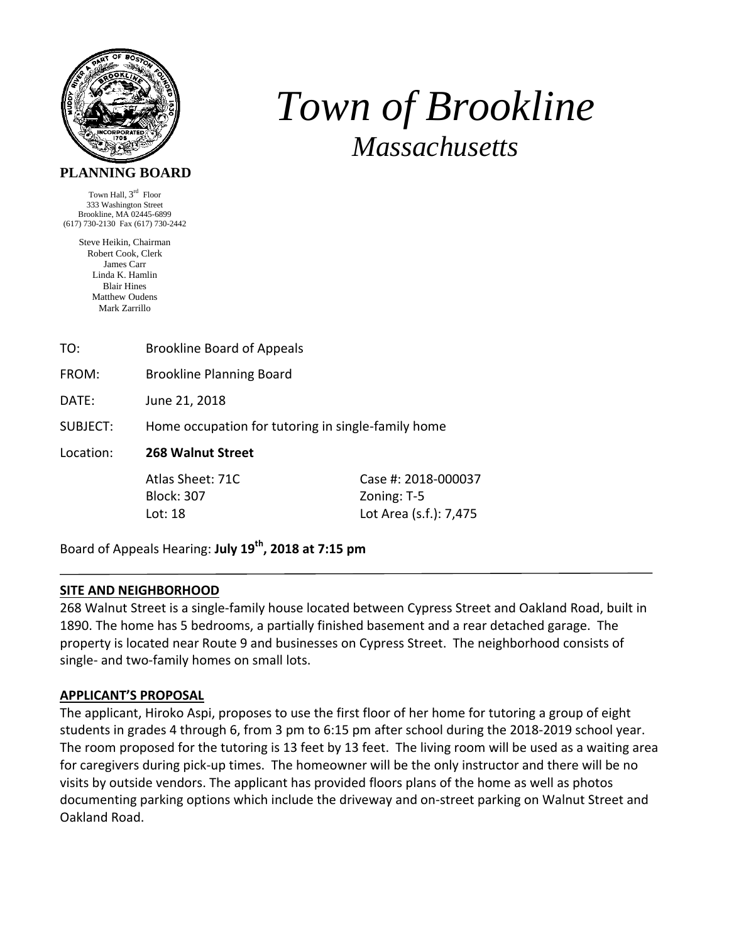

# *Town of Brookline Massachusetts*

Town Hall, 3<sup>rd</sup> Floor 333 Washington Street Brookline, MA 02445-6899 (617) 730-2130 Fax (617) 730-2442

> Steve Heikin, Chairman Robert Cook, Clerk James Carr Linda K. Hamlin Blair Hines Matthew Oudens Mark Zarrillo

| TO:       | <b>Brookline Board of Appeals</b>                  |                        |
|-----------|----------------------------------------------------|------------------------|
| FROM:     | <b>Brookline Planning Board</b>                    |                        |
| DATE:     | June 21, 2018                                      |                        |
| SUBJECT:  | Home occupation for tutoring in single-family home |                        |
| Location: | 268 Walnut Street                                  |                        |
|           | Atlas Sheet: 71C                                   | Case #: 2018-000037    |
|           | <b>Block: 307</b>                                  | Zoning: T-5            |
|           | Lot: 18                                            | Lot Area (s.f.): 7,475 |

Board of Appeals Hearing: **July 19th, 2018 at 7:15 pm**

# **SITE AND NEIGHBORHOOD**

268 Walnut Street is a single-family house located between Cypress Street and Oakland Road, built in 1890. The home has 5 bedrooms, a partially finished basement and a rear detached garage. The property is located near Route 9 and businesses on Cypress Street. The neighborhood consists of single- and two-family homes on small lots.

## **APPLICANT'S PROPOSAL**

The applicant, Hiroko Aspi, proposes to use the first floor of her home for tutoring a group of eight students in grades 4 through 6, from 3 pm to 6:15 pm after school during the 2018‐2019 school year. The room proposed for the tutoring is 13 feet by 13 feet. The living room will be used as a waiting area for caregivers during pick-up times. The homeowner will be the only instructor and there will be no visits by outside vendors. The applicant has provided floors plans of the home as well as photos documenting parking options which include the driveway and on‐street parking on Walnut Street and Oakland Road.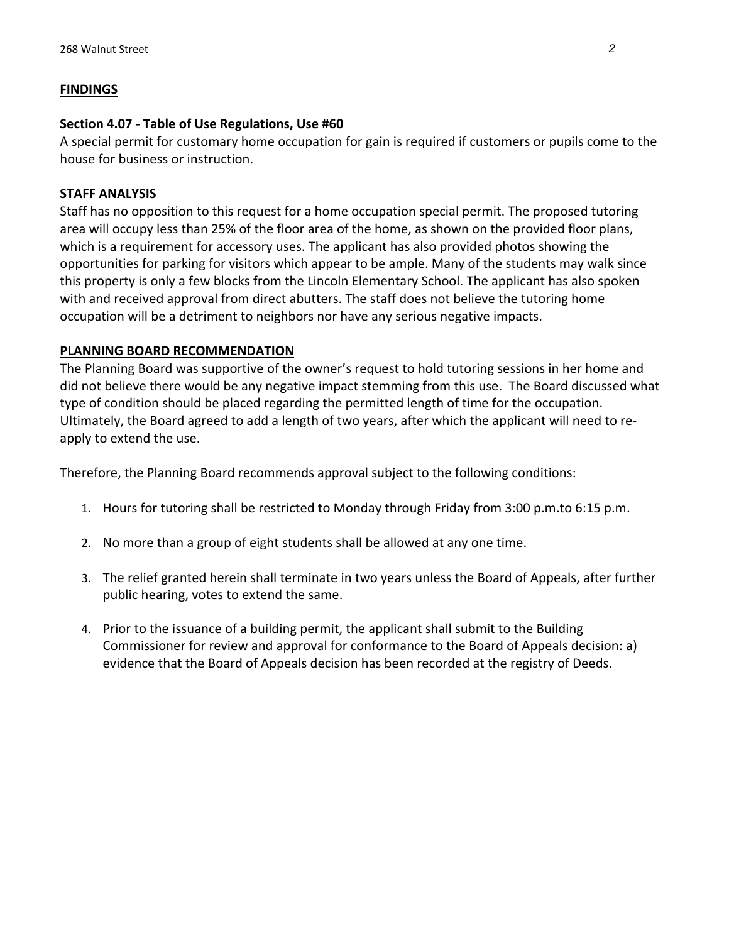## **FINDINGS**

#### **Section 4.07 ‐ Table of Use Regulations, Use #60**

A special permit for customary home occupation for gain is required if customers or pupils come to the house for business or instruction.

### **STAFF ANALYSIS**

Staff has no opposition to this request for a home occupation special permit. The proposed tutoring area will occupy less than 25% of the floor area of the home, as shown on the provided floor plans, which is a requirement for accessory uses. The applicant has also provided photos showing the opportunities for parking for visitors which appear to be ample. Many of the students may walk since this property is only a few blocks from the Lincoln Elementary School. The applicant has also spoken with and received approval from direct abutters. The staff does not believe the tutoring home occupation will be a detriment to neighbors nor have any serious negative impacts.

#### **PLANNING BOARD RECOMMENDATION**

The Planning Board was supportive of the owner's request to hold tutoring sessions in her home and did not believe there would be any negative impact stemming from this use. The Board discussed what type of condition should be placed regarding the permitted length of time for the occupation. Ultimately, the Board agreed to add a length of two years, after which the applicant will need to re‐ apply to extend the use.

Therefore, the Planning Board recommends approval subject to the following conditions:

- 1. Hours for tutoring shall be restricted to Monday through Friday from 3:00 p.m.to 6:15 p.m.
- 2. No more than a group of eight students shall be allowed at any one time.
- 3. The relief granted herein shall terminate in two years unless the Board of Appeals, after further public hearing, votes to extend the same.
- 4. Prior to the issuance of a building permit, the applicant shall submit to the Building Commissioner for review and approval for conformance to the Board of Appeals decision: a) evidence that the Board of Appeals decision has been recorded at the registry of Deeds.